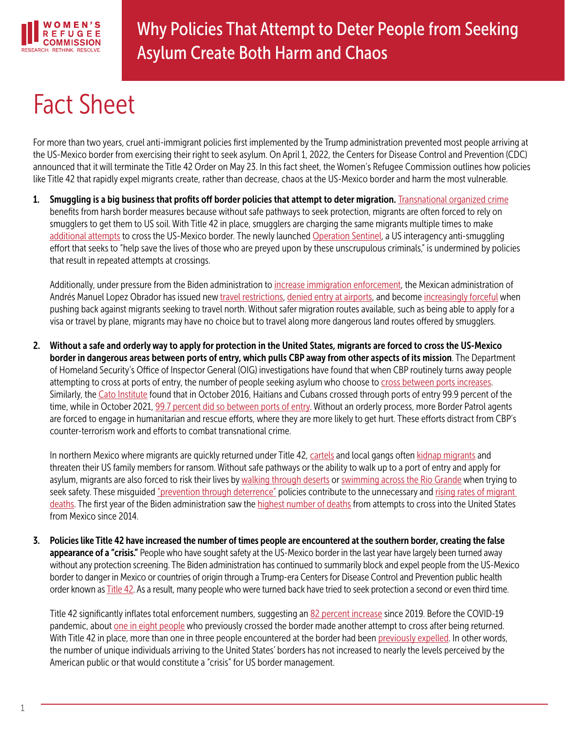

## Fact Sheet

For more than two years, cruel anti-immigrant policies first implemented by the Trump administration prevented most people arriving at the US-Mexico border from exercising their right to seek asylum. On April 1, 2022, the Centers for Disease Control and Prevention (CDC) announced that it will terminate the Title 42 Order on May 23. In this fact sheet, the Women's Refugee Commission outlines how policies like Title 42 that rapidly expel migrants create, rather than decrease, chaos at the US-Mexico border and harm the most vulnerable.

1. Smuggling is a big business that profits off border policies that attempt to deter migration. [Transnational organized crime](https://www.businessinsider.com/corrupt-mexican-officials-cartels-profit-from-trump-biden-immigration-policy-2022-1) benefits from harsh border measures because without safe pathways to seek protection, migrants are often forced to rely on smugglers to get them to US soil. With Title 42 in place, smugglers are charging the same migrants multiple times to make [additional attempts](https://www.reuters.com/article/uk-usa-immigration-smuggling-insight-idUKKBN27S23U) to cross the US-Mexico border. The newly launched [Operation Sentinel](https://www.dhs.gov/news/2021/04/27/dhs-announces-operation-target-criminal-smuggling-organizations), a US interagency anti-smuggling effort that seeks to "help save the lives of those who are preyed upon by these unscrupulous criminals," is undermined by policies that result in repeated attempts at crossings.

Additionally, under pressure from the Biden administration to [increase immigration enforcement,](https://www.buzzfeednews.com/article/hamedaleaziz/biden-mexico-migration-requests) the Mexican administration of Andrés Manuel Lopez Obrador has issued new [travel restrictions,](https://www.reuters.com/world/americas/mexico-formally-unveils-new-visa-requirements-venezuelans-2022-01-06/) [denied entry at airports](https://www.animalpolitico.com/2022/01/mexico-rechaza-a-200-extranjeros-cada-dia-en-sus-aeropuertos/), and become [increasingly forceful](https://www.reuters.com/world/americas/migrants-clash-with-police-southern-mexico-2022-02-23/) when pushing back against migrants seeking to travel north. Without safer migration routes available, such as being able to apply for a visa or travel by plane, migrants may have no choice but to travel along more dangerous land routes offered by smugglers.

2. Without a safe and orderly way to apply for protection in the United States, migrants are forced to cross the US-Mexico border in dangerous areas between ports of entry, which pulls CBP away from other aspects of its mission. The Department of Homeland Security's Office of Inspector General (OIG) investigations have found that when CBP routinely turns away people attempting to cross at ports of entry, the number of people seeking asylum who choose to [cross between ports increases](https://www.oig.dhs.gov/sites/default/files/assets/2018-10/OIG-18-84-Sep18.pdf). Similarly, the [Cato Institute](https://t.co/gXGu0lzF0K) found that in October 2016, Haitians and Cubans crossed through ports of entry 99.9 percent of the time, while in October 2021, 99.7 percent did so between ports of entry. Without an orderly process, more Border Patrol agents are forced to engage in humanitarian and rescue efforts, where they are more likely to get hurt. These efforts distract from CBP's counter-terrorism work and efforts to combat transnational crime.

In northern Mexico where migrants are quickly returned under Title 42, [cartels](https://www.axios.com/mexico-drug-cartels-extortion-migrants-6b43e397-b7b2-475c-9c84-24309bbcbd1d.html) and local gangs often [kidnap migrants](https://www.latimes.com/politics/story/2021-04-28/biden-title-42-policy-fueling-kidnappings-of-migrant-families-at-border-and-extortion-of-u-s-relatives) and threaten their US family members for ransom. Without safe pathways or the ability to walk up to a port of entry and apply for asylum, migrants are also forced to risk their lives by [walking through deserts](https://www.hrw.org/sites/default/files/media_2021/09/Extreme Heat and US Border Policies Letter to the Biden Administration%2C 09.15.21.pdf) or [swimming across the Rio Grande](https://www.nytimes.com/2021/03/26/us/border-migrant-girl-death.html) when trying to seek safety. These misguided ["prevention through deterrence"](https://immigrationimpact.com/2021/04/02/immigrants-coming-to-the-border-deterrence-policies/#.YWbv-9rMI2w) policies contribute to the unnecessary and [rising rates of migrant](https://sbs.arizona.edu/news/uarizona-releases-report-border-crosser-deaths-southern-arizona)  [deaths](https://sbs.arizona.edu/news/uarizona-releases-report-border-crosser-deaths-southern-arizona). The first year of the Biden administration saw the [highest number of deaths](https://www.iom.int/news/rising-migrant-deaths-top-4400-year-iom-records-more-45000-2014) from attempts to cross into the United States from Mexico since 2014.

3. Policies like Title 42 have increased the number of times people are encountered at the southern border, creating the false appearance of a "crisis." People who have sought safety at the US-Mexico border in the last year have largely been turned away without any protection screening. The Biden administration has continued to summarily block and expel people from the US-Mexico border to danger in Mexico or countries of origin through a Trump-era Centers for Disease Control and Prevention public health order known as [Title 42](https://www.womensrefugeecommission.org/research-resources/300-organizations-urge-the-biden-administration-to-end-title-42-and-uphold-refugee-law/). As a result, many people who were turned back have tried to seek protection a second or even third time.

Title 42 significantly inflates total enforcement numbers, suggesting an [82 percent increase](https://www.cbp.gov/newsroom/national-media-release/cbp-releases-operational-fiscal-year-2021-statistics) since 2019. Before the COVID-19 pandemic, about [one in eight people](https://www.cbp.gov/newsroom/national-media-release/cbp-releases-operational-fiscal-year-2021-statistics) who previously crossed the border made another attempt to cross after being returned. With Title 42 in place, more than one in three people encountered at the border had been [previously expelled](https://www.cbp.gov/newsroom/national-media-release/cbp-releases-operational-fiscal-year-2021-statistics). In other words, the number of unique individuals arriving to the United States' borders has not increased to nearly the levels perceived by the American public or that would constitute a "crisis" for US border management.